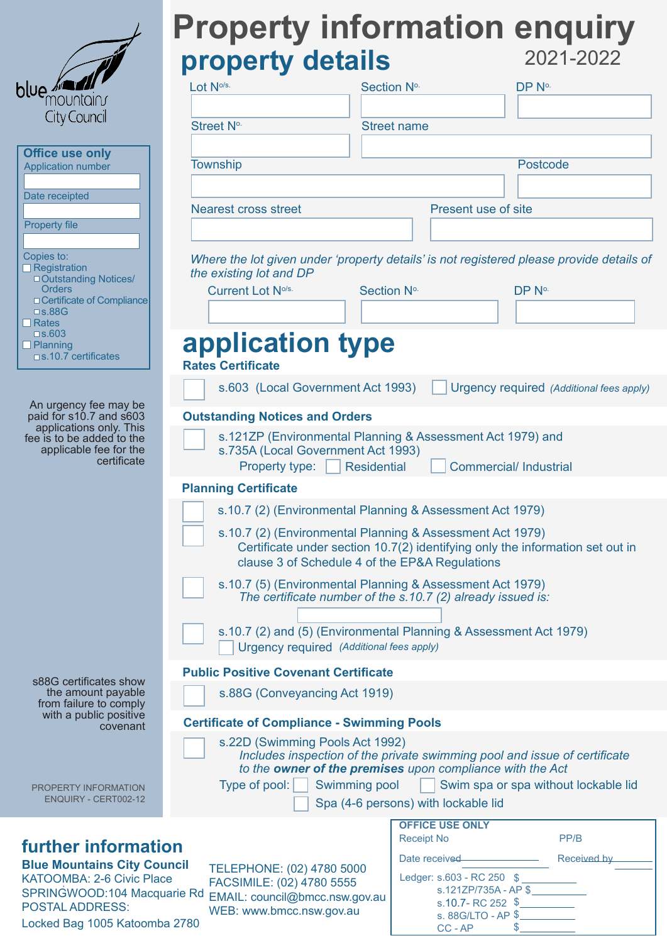|                                                                                                                                   | <b>Property information enquiry</b>                                                                                                                                                          |                                     |                                          |  |
|-----------------------------------------------------------------------------------------------------------------------------------|----------------------------------------------------------------------------------------------------------------------------------------------------------------------------------------------|-------------------------------------|------------------------------------------|--|
|                                                                                                                                   | property details                                                                                                                                                                             |                                     | 2021-2022                                |  |
| blue / 2/                                                                                                                         |                                                                                                                                                                                              |                                     |                                          |  |
| mountain                                                                                                                          | Lot No/s.                                                                                                                                                                                    | Section No.                         | DP No.                                   |  |
| City Council                                                                                                                      | Street No.                                                                                                                                                                                   | <b>Street name</b>                  |                                          |  |
| <b>Office use only</b>                                                                                                            |                                                                                                                                                                                              |                                     |                                          |  |
| <b>Application number</b>                                                                                                         | <b>Township</b>                                                                                                                                                                              |                                     | Postcode                                 |  |
| Date receipted                                                                                                                    |                                                                                                                                                                                              |                                     |                                          |  |
|                                                                                                                                   | <b>Nearest cross street</b>                                                                                                                                                                  | Present use of site                 |                                          |  |
| <b>Property file</b>                                                                                                              |                                                                                                                                                                                              |                                     |                                          |  |
| Copies to:<br>$\Box$ Registration<br>□ Outstanding Notices/                                                                       | Where the lot given under 'property details' is not registered please provide details of<br>the existing lot and DP                                                                          |                                     |                                          |  |
| <b>Orders</b><br>□ Certificate of Compliance                                                                                      | Current Lot No/s.                                                                                                                                                                            | Section No.                         | DP No.                                   |  |
| $\square$ s.88G<br>$\Box$ Rates                                                                                                   |                                                                                                                                                                                              |                                     |                                          |  |
| $\square$ s.603<br>$\Box$ Planning<br>$\square$ s.10.7 certificates                                                               | application type<br><b>Rates Certificate</b>                                                                                                                                                 |                                     |                                          |  |
|                                                                                                                                   | s.603 (Local Government Act 1993)                                                                                                                                                            |                                     | Urgency required (Additional fees apply) |  |
| An urgency fee may be                                                                                                             |                                                                                                                                                                                              |                                     |                                          |  |
| paid for s10.7 and s603<br>applications only. This                                                                                | <b>Outstanding Notices and Orders</b>                                                                                                                                                        |                                     |                                          |  |
| fee is to be added to the<br>applicable fee for the<br>certificate                                                                | s.121ZP (Environmental Planning & Assessment Act 1979) and<br>s.735A (Local Government Act 1993)                                                                                             |                                     |                                          |  |
|                                                                                                                                   | Property type:                                                                                                                                                                               | <b>Residential</b>                  | <b>Commercial/Industrial</b>             |  |
|                                                                                                                                   | <b>Planning Certificate</b>                                                                                                                                                                  |                                     |                                          |  |
|                                                                                                                                   | s.10.7 (2) (Environmental Planning & Assessment Act 1979)                                                                                                                                    |                                     |                                          |  |
|                                                                                                                                   | s.10.7 (2) (Environmental Planning & Assessment Act 1979)<br>Certificate under section 10.7(2) identifying only the information set out in<br>clause 3 of Schedule 4 of the EP&A Regulations |                                     |                                          |  |
|                                                                                                                                   | s.10.7 (5) (Environmental Planning & Assessment Act 1979)<br>The certificate number of the s.10.7 (2) already issued is:                                                                     |                                     |                                          |  |
|                                                                                                                                   | s.10.7 (2) and (5) (Environmental Planning & Assessment Act 1979)<br>Urgency required (Additional fees apply)                                                                                |                                     |                                          |  |
| s88G certificates show<br>the amount payable<br>from failure to comply<br>with a public positive<br>covenant                      | <b>Public Positive Covenant Certificate</b>                                                                                                                                                  |                                     |                                          |  |
|                                                                                                                                   | s.88G (Conveyancing Act 1919)                                                                                                                                                                |                                     |                                          |  |
|                                                                                                                                   | <b>Certificate of Compliance - Swimming Pools</b>                                                                                                                                            |                                     |                                          |  |
|                                                                                                                                   | s.22D (Swimming Pools Act 1992)<br>Includes inspection of the private swimming pool and issue of certificate<br>to the owner of the premises upon compliance with the Act                    |                                     |                                          |  |
| PROPERTY INFORMATION<br><b>ENQUIRY - CERT002-12</b>                                                                               | Type of pool:   Swimming pool   Swim spa or spa without lockable lid<br>Spa (4-6 persons) with lockable lid                                                                                  |                                     |                                          |  |
|                                                                                                                                   |                                                                                                                                                                                              | <b>OFFICE USE ONLY</b>              |                                          |  |
| <b>further information</b><br><b>Blue Mountains City Council</b><br>TELEPHONE: (02) 4780 5000<br><b>KATOOMBA: 2-6 Civic Place</b> |                                                                                                                                                                                              | <b>Receipt No</b><br>Date received- | PP/B<br>Received by                      |  |
|                                                                                                                                   |                                                                                                                                                                                              | Ledger: s.603 - RC 250 \$           |                                          |  |
| SPRINGWOOD:104 Macquarie Rd                                                                                                       | FACSIMILE: (02) 4780 5555<br>EMAIL: council@bmcc.nsw.gov.au                                                                                                                                  |                                     | s.121ZP/735A - AP \$                     |  |
| <b>POSTAL ADDRESS:</b><br>Locked Bag 1005 Katoomba 2780                                                                           | WEB: www.bmcc.nsw.gov.au                                                                                                                                                                     | CC-AP                               | s. 88G/LTO - AP \$<br>S.                 |  |
|                                                                                                                                   |                                                                                                                                                                                              |                                     |                                          |  |